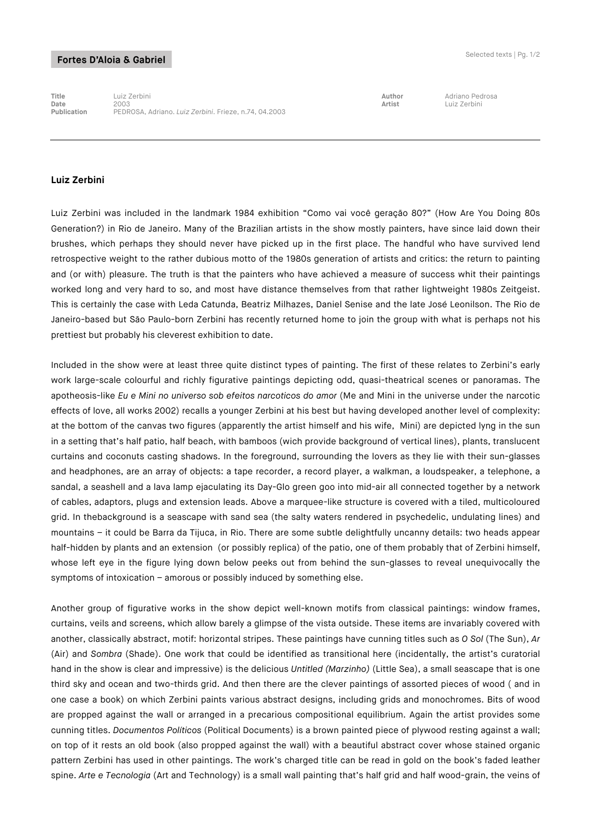## Fortes D'Aloia & Gabriel

**Title** Luiz Zerbini **Author** Adriano Pedrosa **Date** 2003 **Artist** Luiz Zerbini **Publication** PEDROSA, Adriano. *Luiz Zerbini*. Frieze, n.74, 04.2003

## **Luiz Zerbini**

Luiz Zerbini was included in the landmark 1984 exhibition "Como vai você geração 80?" (How Are You Doing 80s Generation?) in Rio de Janeiro. Many of the Brazilian artists in the show mostly painters, have since laid down their brushes, which perhaps they should never have picked up in the first place. The handful who have survived lend retrospective weight to the rather dubious motto of the 1980s generation of artists and critics: the return to painting and (or with) pleasure. The truth is that the painters who have achieved a measure of success whit their paintings worked long and very hard to so, and most have distance themselves from that rather lightweight 1980s Zeitgeist. This is certainly the case with Leda Catunda, Beatriz Milhazes, Daniel Senise and the late José Leonilson. The Rio de Janeiro-based but São Paulo-born Zerbini has recently returned home to join the group with what is perhaps not his prettiest but probably his cleverest exhibition to date.

Included in the show were at least three quite distinct types of painting. The first of these relates to Zerbini's early work large-scale colourful and richly figurative paintings depicting odd, quasi-theatrical scenes or panoramas. The apotheosis-like *Eu e Mini no universo sob efeitos narcoticos do amor* (Me and Mini in the universe under the narcotic effects of love, all works 2002) recalls a younger Zerbini at his best but having developed another level of complexity: at the bottom of the canvas two figures (apparently the artist himself and his wife, Mini) are depicted lyng in the sun in a setting that's half patio, half beach, with bamboos (wich provide background of vertical lines), plants, translucent curtains and coconuts casting shadows. In the foreground, surrounding the lovers as they lie with their sun-glasses and headphones, are an array of objects: a tape recorder, a record player, a walkman, a loudspeaker, a telephone, a sandal, a seashell and a lava lamp ejaculating its Day-Glo green goo into mid-air all connected together by a network of cables, adaptors, plugs and extension leads. Above a marquee-like structure is covered with a tiled, multicoloured grid. In thebackground is a seascape with sand sea (the salty waters rendered in psychedelic, undulating lines) and mountains – it could be Barra da Tijuca, in Rio. There are some subtle delightfully uncanny details: two heads appear half-hidden by plants and an extension (or possibly replica) of the patio, one of them probably that of Zerbini himself, whose left eye in the figure lying down below peeks out from behind the sun-glasses to reveal unequivocally the symptoms of intoxication – amorous or possibly induced by something else.

Another group of figurative works in the show depict well-known motifs from classical paintings: window frames, curtains, veils and screens, which allow barely a glimpse of the vista outside. These items are invariably covered with another, classically abstract, motif: horizontal stripes. These paintings have cunning titles such as *O Sol* (The Sun), *Ar* (Air) and *Sombra* (Shade). One work that could be identified as transitional here (incidentally, the artist's curatorial hand in the show is clear and impressive) is the delicious *Untitled (Marzinho)* (Little Sea), a small seascape that is one third sky and ocean and two-thirds grid. And then there are the clever paintings of assorted pieces of wood ( and in one case a book) on which Zerbini paints various abstract designs, including grids and monochromes. Bits of wood are propped against the wall or arranged in a precarious compositional equilibrium. Again the artist provides some cunning titles. *Documentos Políticos* (Political Documents) is a brown painted piece of plywood resting against a wall; on top of it rests an old book (also propped against the wall) with a beautiful abstract cover whose stained organic pattern Zerbini has used in other paintings. The work's charged title can be read in gold on the book's faded leather spine. *Arte e Tecnologia* (Art and Technology) is a small wall painting that's half grid and half wood-grain, the veins of